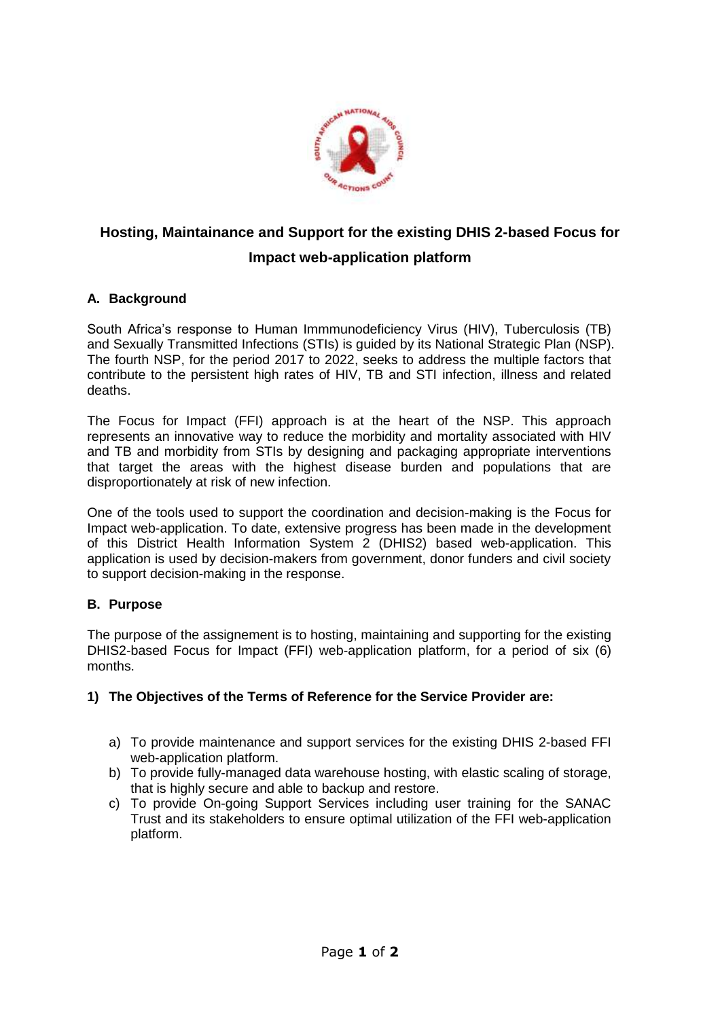

# **Hosting, Maintainance and Support for the existing DHIS 2-based Focus for Impact web-application platform**

## **A. Background**

South Africa's response to Human Immmunodeficiency Virus (HIV), Tuberculosis (TB) and Sexually Transmitted Infections (STIs) is guided by its National Strategic Plan (NSP). The fourth NSP, for the period 2017 to 2022, seeks to address the multiple factors that contribute to the persistent high rates of HIV, TB and STI infection, illness and related deaths.

The Focus for Impact (FFI) approach is at the heart of the NSP. This approach represents an innovative way to reduce the morbidity and mortality associated with HIV and TB and morbidity from STIs by designing and packaging appropriate interventions that target the areas with the highest disease burden and populations that are disproportionately at risk of new infection.

One of the tools used to support the coordination and decision-making is the Focus for Impact web-application. To date, extensive progress has been made in the development of this District Health Information System 2 (DHIS2) based web-application. This application is used by decision-makers from government, donor funders and civil society to support decision-making in the response.

## **B. Purpose**

The purpose of the assignement is to hosting, maintaining and supporting for the existing DHIS2-based Focus for Impact (FFI) web-application platform, for a period of six (6) months.

#### **1) The Objectives of the Terms of Reference for the Service Provider are:**

- a) To provide maintenance and support services for the existing DHIS 2-based FFI web-application platform.
- b) To provide fully-managed data warehouse hosting, with elastic scaling of storage, that is highly secure and able to backup and restore.
- c) To provide On-going Support Services including user training for the SANAC Trust and its stakeholders to ensure optimal utilization of the FFI web-application platform.